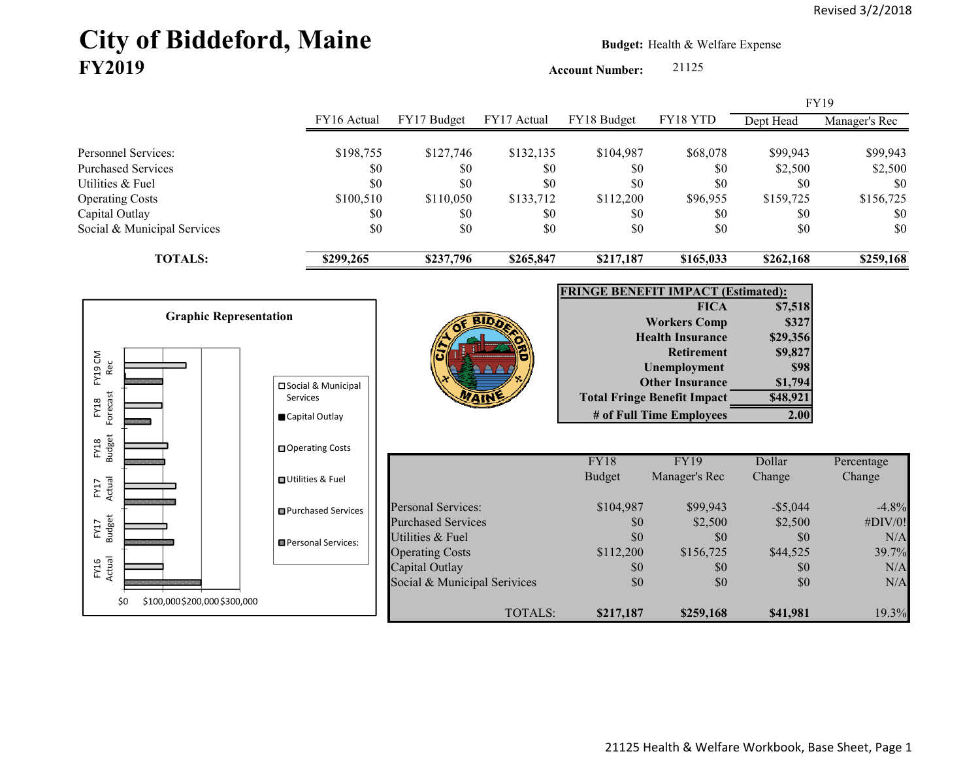# City of Biddeford, Maine **Budget: Health & Welfare Expense FY2019**

**Account Number:** 21125

|                                      |                                  |                              |             |                                           |                                    |                 | <b>FY19</b>   |
|--------------------------------------|----------------------------------|------------------------------|-------------|-------------------------------------------|------------------------------------|-----------------|---------------|
|                                      | FY16 Actual                      | FY17 Budget                  | FY17 Actual | FY18 Budget                               | FY18 YTD                           | Dept Head       | Manager's Rec |
| Personnel Services:                  | \$198,755                        | \$127,746                    | \$132,135   | \$104,987                                 | \$68,078                           | \$99,943        | \$99,943      |
| <b>Purchased Services</b>            | \$0                              | \$0                          | \$0         | \$0                                       | \$0                                | \$2,500         | \$2,500       |
| Utilities & Fuel                     | \$0                              | \$0                          | \$0         | \$0                                       | \$0                                | \$0             | \$0           |
| <b>Operating Costs</b>               | \$100,510                        | \$110,050                    | \$133,712   | \$112,200                                 | \$96,955                           | \$159,725       | \$156,725     |
| Capital Outlay                       | \$0                              | \$0                          | \$0         | \$0                                       | \$0                                | \$0             | \$0           |
| Social & Municipal Services          | \$0                              | \$0                          | \$0         | \$0                                       | \$0                                | \$0             | \$0           |
| <b>TOTALS:</b>                       | \$299,265                        | \$237,796                    | \$265,847   | \$217,187                                 | \$165,033                          | \$262,168       | \$259,168     |
|                                      |                                  |                              |             |                                           |                                    |                 |               |
|                                      |                                  |                              |             | <b>FRINGE BENEFIT IMPACT (Estimated):</b> |                                    |                 |               |
| <b>Graphic Representation</b>        |                                  |                              |             |                                           | <b>FICA</b>                        | \$7,518         |               |
|                                      |                                  |                              |             |                                           | <b>Workers Comp</b>                | \$327           |               |
|                                      |                                  |                              |             |                                           | <b>Health Insurance</b>            | \$29,356        |               |
| Rec                                  |                                  |                              |             |                                           | <b>Retirement</b><br>Unemployment  | \$9,827<br>\$98 |               |
| FY19 CM                              |                                  |                              |             |                                           | <b>Other Insurance</b>             | \$1,794         |               |
|                                      | □ Social & Municipal<br>Services |                              |             |                                           | <b>Total Fringe Benefit Impact</b> | \$48,921        |               |
| Forecast<br>FY18                     |                                  |                              |             |                                           | # of Full Time Employees           | 2.00            |               |
|                                      | Capital Outlay                   |                              |             |                                           |                                    |                 |               |
| FY18<br>Budget                       | □ Operating Costs                |                              |             |                                           |                                    |                 |               |
|                                      |                                  |                              |             | FY18                                      | <b>FY19</b>                        | Dollar          | Percentage    |
|                                      | □ Utilities & Fuel               |                              |             | <b>Budget</b>                             | Manager's Rec                      | Change          | Change        |
| Actual<br>FY17                       |                                  |                              |             |                                           |                                    |                 |               |
|                                      | <b>□</b> Purchased Services      | <b>Personal Services:</b>    |             | \$104,987                                 | \$99,943                           | $-$ \$5,044     | $-4.8%$       |
| <b>Budget</b><br>FY17                |                                  | <b>Purchased Services</b>    |             | \$0                                       | \$2,500                            | \$2,500         | #DIV/0!       |
|                                      | Personal Services:               | Utilities & Fuel             |             | \$0                                       | \$0                                | \$0             | N/A           |
|                                      |                                  | <b>Operating Costs</b>       |             | \$112,200                                 | \$156,725                          | \$44,525        | 39.7%         |
| FY16<br>Actual                       |                                  | Capital Outlay               |             | \$0                                       | \$0                                | \$0             | N/A           |
|                                      |                                  | Social & Municipal Serivices |             | \$0                                       | \$0                                | \$0             | N/A           |
| \$100,000 \$200,000 \$300,000<br>\$0 |                                  |                              | TOTALS:     | \$217,187                                 | \$259,168                          | \$41,981        | 19.3%         |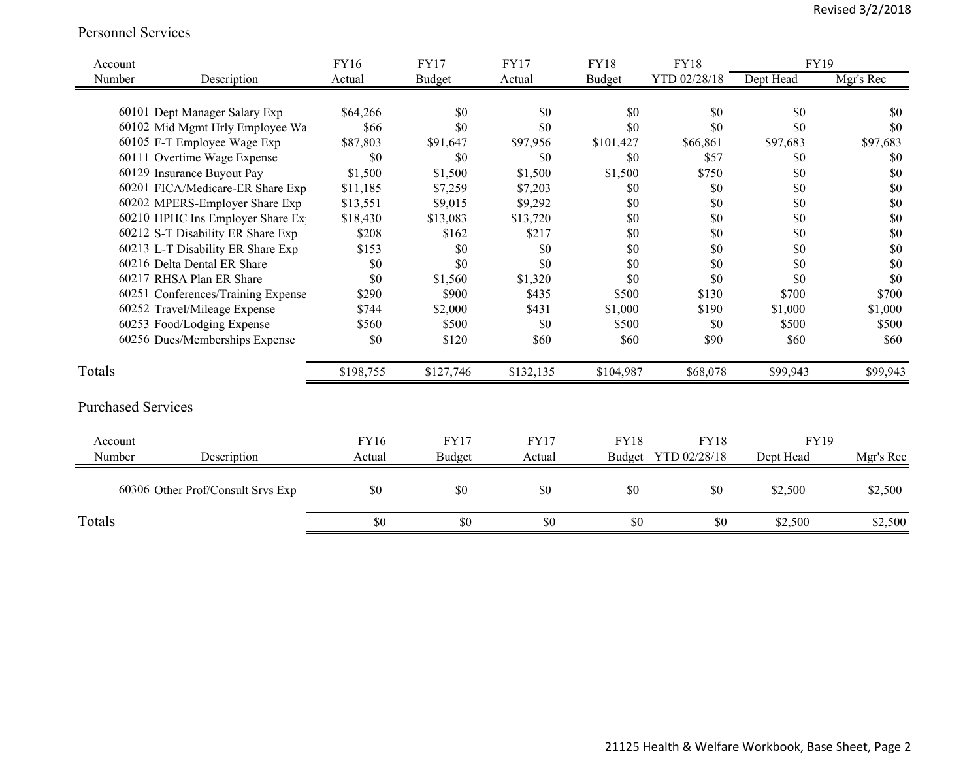#### Personnel Services

| Account                   |                                                                | <b>FY16</b>      | <b>FY17</b>   | <b>FY17</b> | <b>FY18</b> | <b>FY18</b>         | <b>FY19</b> |            |
|---------------------------|----------------------------------------------------------------|------------------|---------------|-------------|-------------|---------------------|-------------|------------|
| Number                    | Description                                                    | Actual           | Budget        | Actual      | Budget      | YTD 02/28/18        | Dept Head   | Mgr's Rec  |
|                           |                                                                |                  |               |             |             |                     |             |            |
|                           | 60101 Dept Manager Salary Exp                                  | \$64,266         | \$0<br>\$0    | \$0<br>\$0  | \$0<br>\$0  | \$0<br>\$0          | \$0<br>\$0  | \$0<br>\$0 |
|                           | 60102 Mid Mgmt Hrly Employee Wa<br>60105 F-T Employee Wage Exp | \$66<br>\$87,803 |               |             |             |                     |             |            |
|                           | 60111 Overtime Wage Expense                                    |                  | \$91,647      | \$97,956    | \$101,427   | \$66,861            | \$97,683    | \$97,683   |
|                           |                                                                | \$0              | \$0           | \$0         | \$0         | \$57                | \$0         | \$0        |
|                           | 60129 Insurance Buyout Pay                                     | \$1,500          | \$1,500       | \$1,500     | \$1,500     | \$750               | \$0         | \$0        |
|                           | 60201 FICA/Medicare-ER Share Exp                               | \$11,185         | \$7,259       | \$7,203     | \$0         | \$0                 | \$0         | \$0        |
|                           | 60202 MPERS-Employer Share Exp                                 | \$13,551         | \$9,015       | \$9,292     | \$0         | \$0                 | \$0         | \$0        |
|                           | 60210 HPHC Ins Employer Share Ex                               | \$18,430         | \$13,083      | \$13,720    | \$0         | \$0                 | \$0         | \$0        |
|                           | 60212 S-T Disability ER Share Exp                              | \$208            | \$162         | \$217       | \$0         | \$0                 | \$0         | \$0        |
|                           | 60213 L-T Disability ER Share Exp                              | \$153            | \$0           | \$0         | \$0         | \$0                 | \$0         | \$0        |
|                           | 60216 Delta Dental ER Share                                    | \$0              | \$0           | \$0         | \$0         | \$0                 | \$0         | \$0        |
|                           | 60217 RHSA Plan ER Share                                       | \$0              | \$1,560       | \$1,320     | \$0         | \$0                 | \$0         | \$0        |
|                           | 60251 Conferences/Training Expense                             | \$290            | \$900         | \$435       | \$500       | \$130               | \$700       | \$700      |
|                           | 60252 Travel/Mileage Expense                                   | \$744            | \$2,000       | \$431       | \$1,000     | \$190               | \$1,000     | \$1,000    |
|                           | 60253 Food/Lodging Expense                                     | \$560            | \$500         | \$0         | \$500       | \$0                 | \$500       | \$500      |
|                           | 60256 Dues/Memberships Expense                                 | \$0              | \$120         | \$60        | \$60        | \$90                | \$60        | \$60       |
| Totals                    |                                                                | \$198,755        | \$127,746     | \$132,135   | \$104,987   | \$68,078            | \$99,943    | \$99,943   |
| <b>Purchased Services</b> |                                                                |                  |               |             |             |                     |             |            |
| Account                   |                                                                | <b>FY16</b>      | <b>FY17</b>   | <b>FY17</b> | <b>FY18</b> | <b>FY18</b>         | <b>FY19</b> |            |
| Number                    | Description                                                    | Actual           | <b>Budget</b> | Actual      |             | Budget YTD 02/28/18 | Dept Head   | Mgr's Rec  |
|                           | 60306 Other Prof/Consult Srvs Exp                              | \$0              | \$0           | \$0         | \$0         | \$0                 | \$2,500     | \$2,500    |
| Totals                    |                                                                | \$0              | \$0           | \$0         | \$0         | \$0                 | \$2,500     | \$2,500    |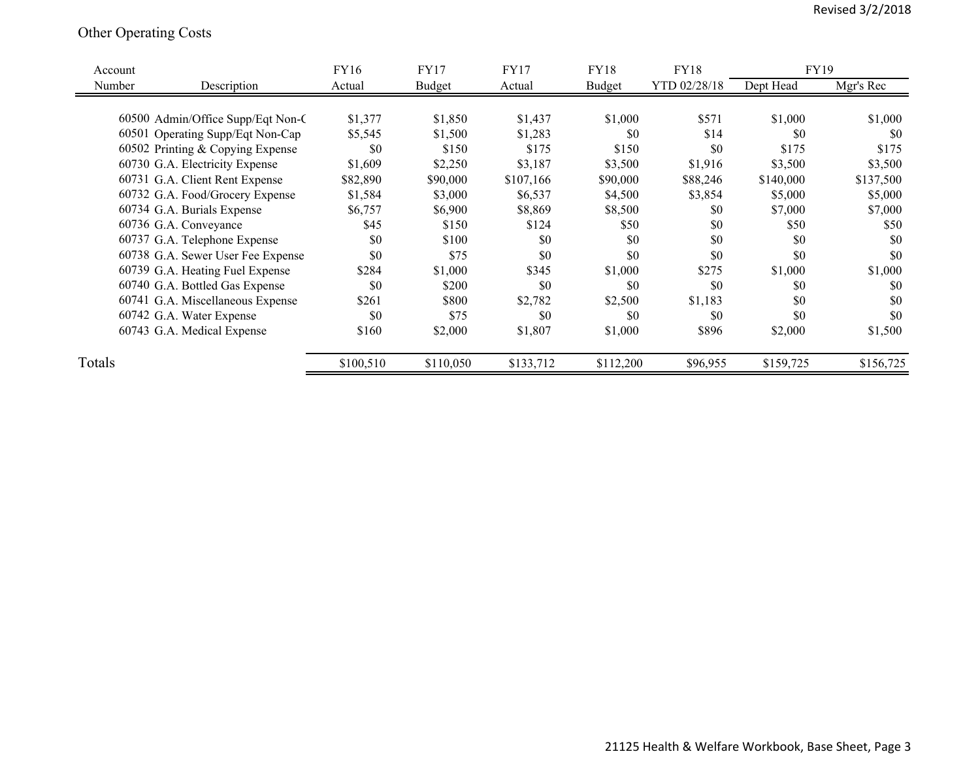## Other Operating Costs

| Account |                                   | <b>FY16</b> | <b>FY17</b>   | <b>FY17</b> | <b>FY18</b> | <b>FY18</b>  | FY19      |           |
|---------|-----------------------------------|-------------|---------------|-------------|-------------|--------------|-----------|-----------|
| Number  | Description                       | Actual      | <b>Budget</b> | Actual      | Budget      | YTD 02/28/18 | Dept Head | Mgr's Rec |
|         |                                   |             |               |             |             |              |           |           |
|         | 60500 Admin/Office Supp/Eqt Non-C | \$1,377     | \$1,850       | \$1,437     | \$1,000     | \$571        | \$1,000   | \$1,000   |
|         | 60501 Operating Supp/Eqt Non-Cap  | \$5,545     | \$1,500       | \$1,283     | \$0         | \$14         | \$0       | \$0       |
|         | 60502 Printing & Copying Expense  | \$0         | \$150         | \$175       | \$150       | \$0          | \$175     | \$175     |
|         | 60730 G.A. Electricity Expense    | \$1,609     | \$2,250       | \$3,187     | \$3,500     | \$1,916      | \$3,500   | \$3,500   |
|         | 60731 G.A. Client Rent Expense    | \$82,890    | \$90,000      | \$107,166   | \$90,000    | \$88,246     | \$140,000 | \$137,500 |
|         | 60732 G.A. Food/Grocery Expense   | \$1,584     | \$3,000       | \$6,537     | \$4,500     | \$3,854      | \$5,000   | \$5,000   |
|         | 60734 G.A. Burials Expense        | \$6,757     | \$6,900       | \$8,869     | \$8,500     | \$0          | \$7,000   | \$7,000   |
|         | 60736 G.A. Conveyance             | \$45        | \$150         | \$124       | \$50        | \$0          | \$50      | \$50      |
|         | 60737 G.A. Telephone Expense      | \$0         | \$100         | \$0         | \$0         | \$0          | \$0       | \$0       |
|         | 60738 G.A. Sewer User Fee Expense | \$0         | \$75          | \$0         | \$0         | \$0          | \$0       | \$0       |
|         | 60739 G.A. Heating Fuel Expense   | \$284       | \$1,000       | \$345       | \$1,000     | \$275        | \$1,000   | \$1,000   |
|         | 60740 G.A. Bottled Gas Expense    | \$0         | \$200         | \$0         | \$0         | \$0          | \$0       | \$0       |
|         | 60741 G.A. Miscellaneous Expense  | \$261       | \$800         | \$2,782     | \$2,500     | \$1,183      | \$0       | \$0       |
|         | 60742 G.A. Water Expense          | \$0         | \$75          | \$0         | \$0         | \$0          | \$0       | \$0       |
|         | 60743 G.A. Medical Expense        | \$160       | \$2,000       | \$1,807     | \$1,000     | \$896        | \$2,000   | \$1,500   |
|         |                                   |             |               |             |             |              |           |           |
| Totals  |                                   | \$100,510   | \$110,050     | \$133,712   | \$112,200   | \$96,955     | \$159,725 | \$156,725 |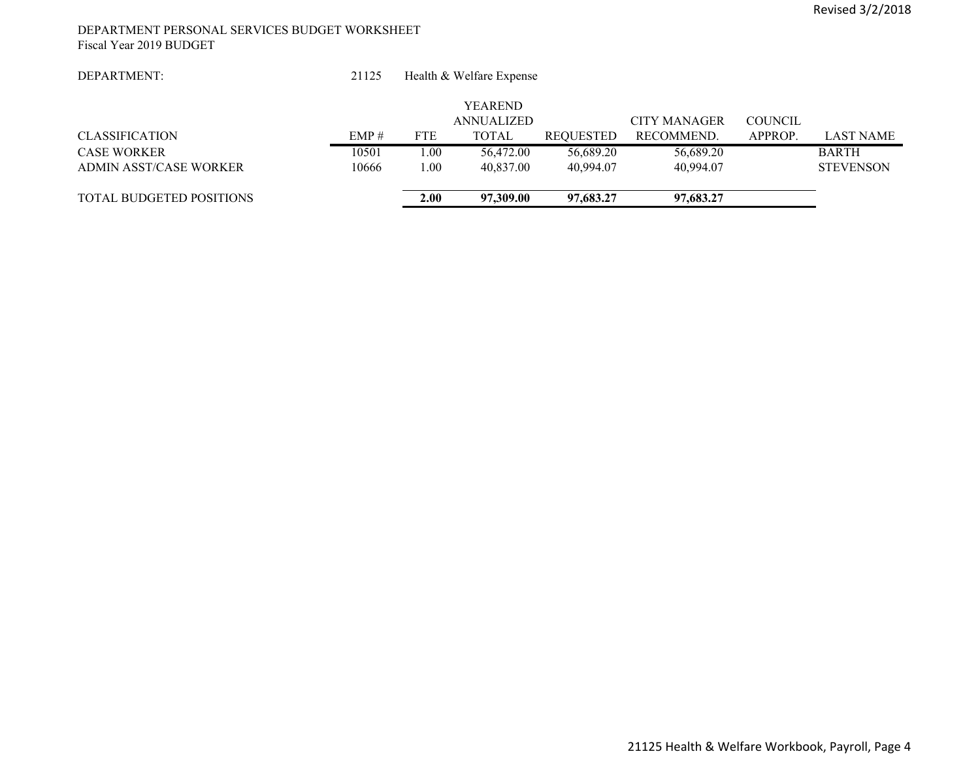#### DEPARTMENT PERSONAL SERVICES BUDGET WORKSHEET Fiscal Year 2019 BUDGET

 21125Health & Welfare Expense

|                                 |       |            | <b>YEAREND</b> |           |              |                |                  |
|---------------------------------|-------|------------|----------------|-----------|--------------|----------------|------------------|
|                                 |       |            | ANNUALIZED     |           | CITY MANAGER | <b>COUNCIL</b> |                  |
| <b>CLASSIFICATION</b>           | EMP#  | <b>FTE</b> | TOTAL          | REOUESTED | RECOMMEND.   | APPROP.        | <b>LAST NAME</b> |
| <b>CASE WORKER</b>              | 10501 | 0.00       | 56,472.00      | 56,689.20 | 56,689.20    |                | <b>BARTH</b>     |
| ADMIN ASST/CASE WORKER          | 10666 | 0.00       | 40.837.00      | 40.994.07 | 40.994.07    |                | <b>STEVENSON</b> |
|                                 |       |            |                |           |              |                |                  |
| <b>TOTAL BUDGETED POSITIONS</b> |       | 2.00       | 97,309.00      | 97,683,27 | 97,683.27    |                |                  |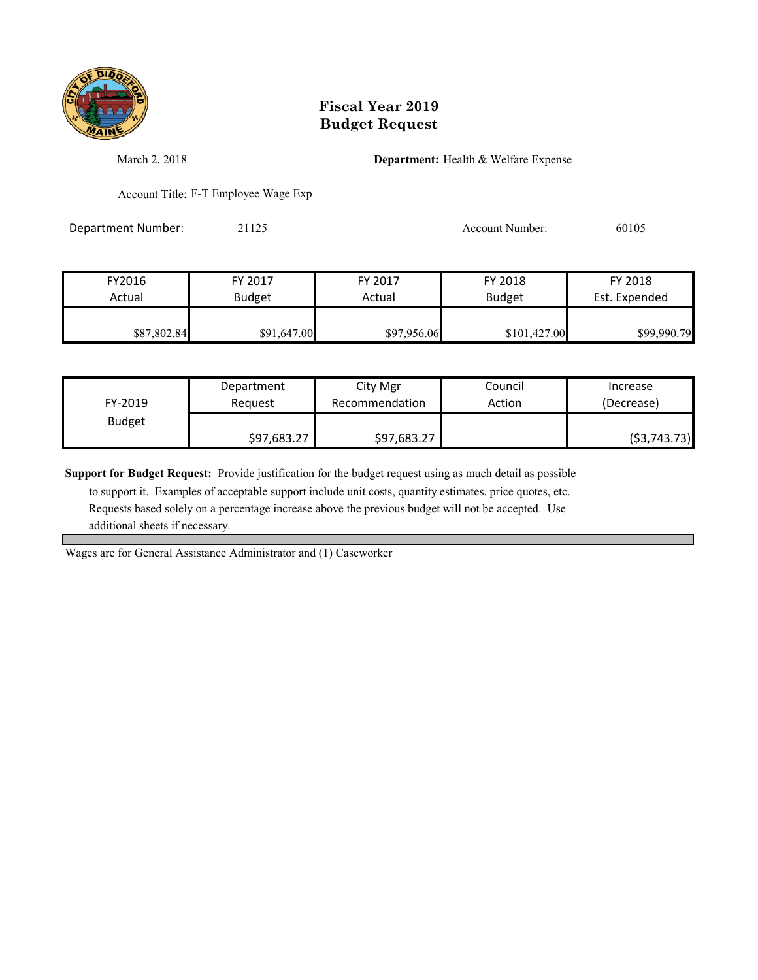

March 2, 2018 **Department:** Health & Welfare Expense

Account Title: F-T Employee Wage Exp

Department Number: 21125 21125 Account Number: 60105

| FY2016      | FY 2017       | FY 2017     | FY 2018       | FY 2018       |
|-------------|---------------|-------------|---------------|---------------|
| Actual      | <b>Budget</b> | Actual      | <b>Budget</b> | Est. Expended |
| \$87,802.84 | \$91,647.00   | \$97,956.06 | \$101,427.00  | \$99,990.79   |

| FY-2019       | Department  | City Mgr       | Council | Increase      |
|---------------|-------------|----------------|---------|---------------|
|               | Reauest     | Recommendation | Action  | (Decrease)    |
| <b>Budget</b> | \$97,683.27 | \$97,683.27    |         | ( \$3,743.73) |

**Support for Budget Request:** Provide justification for the budget request using as much detail as possible

 to support it. Examples of acceptable support include unit costs, quantity estimates, price quotes, etc. Requests based solely on a percentage increase above the previous budget will not be accepted. Use additional sheets if necessary.

Wages are for General Assistance Administrator and (1) Caseworker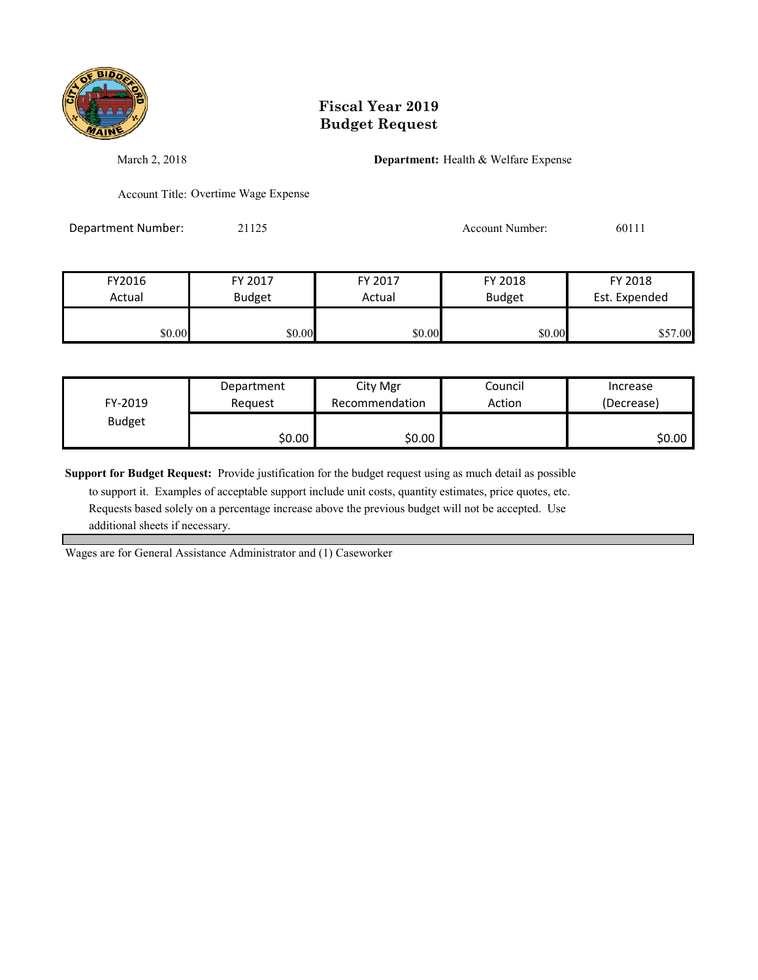

March 2, 2018 **Department:** Health & Welfare Expense

Account Title: Overtime Wage Expense

Department Number: 21125 21125 Account Number: 60111

| FY2016 | FY 2017       | FY 2017 | FY 2018       | FY 2018       |
|--------|---------------|---------|---------------|---------------|
| Actual | <b>Budget</b> | Actual  | <b>Budget</b> | Est. Expended |
|        |               |         |               |               |
| \$0.00 | \$0.00        | \$0.00  | \$0.00        | \$57.00       |

| FY-2019       | Department | City Mgr       | Council | Increase   |
|---------------|------------|----------------|---------|------------|
|               | Reauest    | Recommendation | Action  | (Decrease) |
| <b>Budget</b> | \$0.00     | \$0.00∣        |         | \$0.00∣    |

**Support for Budget Request:** Provide justification for the budget request using as much detail as possible

 to support it. Examples of acceptable support include unit costs, quantity estimates, price quotes, etc. Requests based solely on a percentage increase above the previous budget will not be accepted. Use additional sheets if necessary.

Wages are for General Assistance Administrator and (1) Caseworker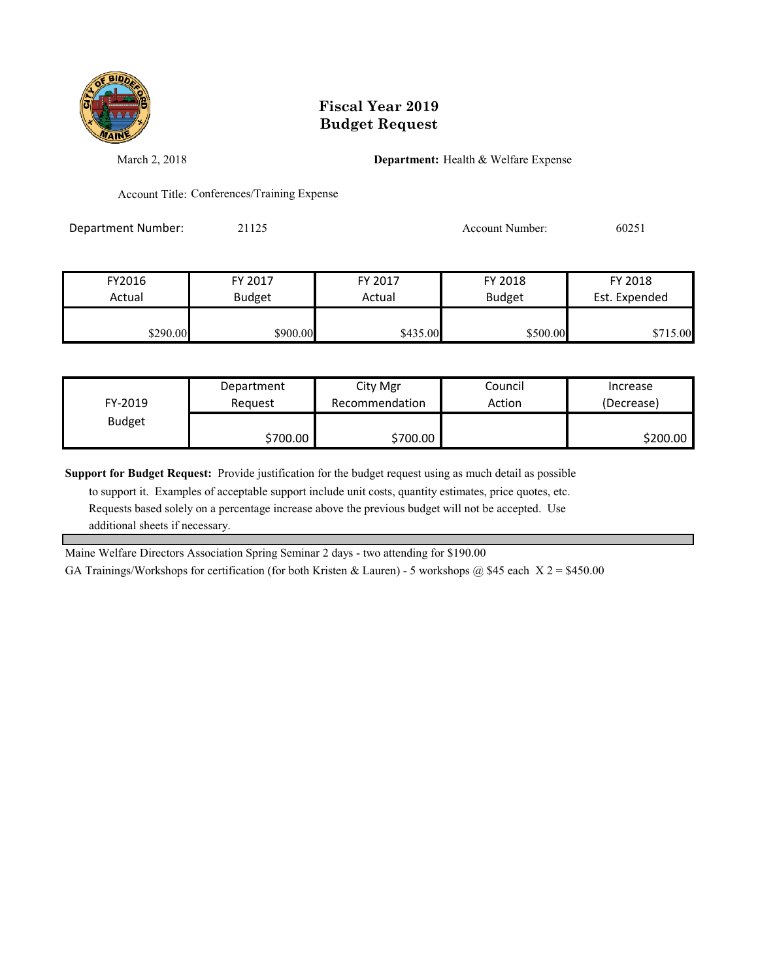

March 2, 2018 **Department:** Health & Welfare Expense

Account Title: Conferences/Training Expense

Department Number: 21125 21125 Account Number: 60251

| FY2016   | FY 2017       | FY 2017  | FY 2018       | FY 2018       |
|----------|---------------|----------|---------------|---------------|
| Actual   | <b>Budget</b> | Actual   | <b>Budget</b> | Est. Expended |
|          |               |          |               |               |
| \$290.00 | \$900.00      | \$435.00 | \$500.00      | 5.00          |

| FY-2019       | Department<br>Reauest | City Mgr<br>Recommendation | Council<br>Action | Increase<br>(Decrease) |
|---------------|-----------------------|----------------------------|-------------------|------------------------|
| <b>Budget</b> |                       |                            |                   |                        |
|               | \$700.00              | \$700.00                   |                   | \$200.00               |

**Support for Budget Request:** Provide justification for the budget request using as much detail as possible

 to support it. Examples of acceptable support include unit costs, quantity estimates, price quotes, etc. Requests based solely on a percentage increase above the previous budget will not be accepted. Use additional sheets if necessary.

Maine Welfare Directors Association Spring Seminar 2 days - two attending for \$190.00

GA Trainings/Workshops for certification (for both Kristen & Lauren) - 5 workshops @ \$45 each  $X$  2 = \$450.00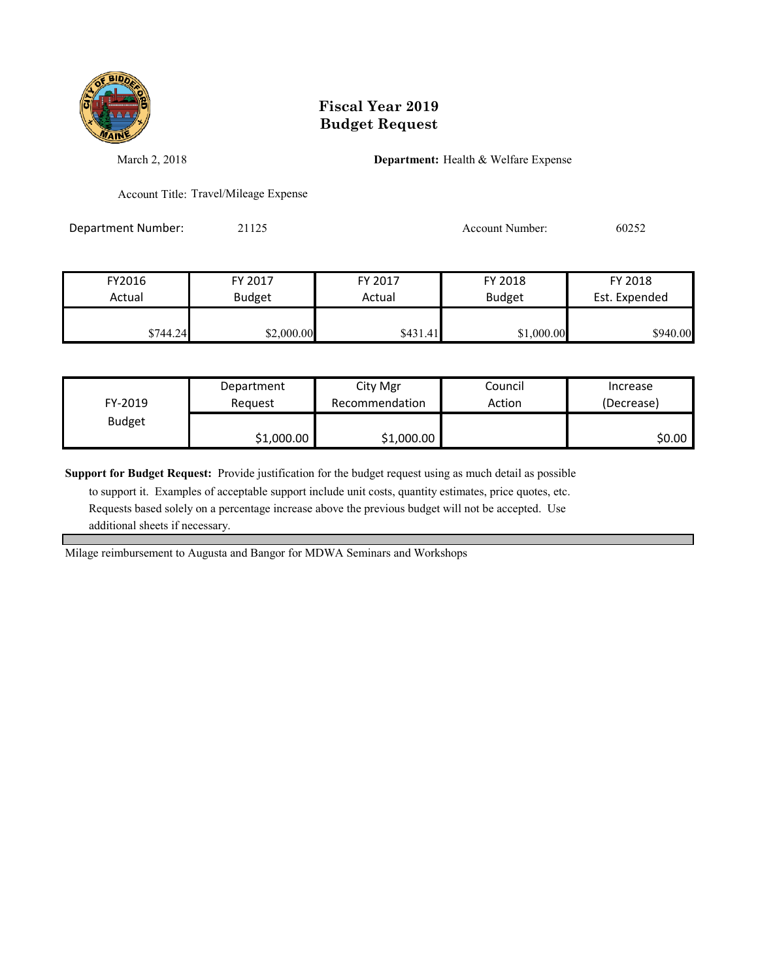

March 2, 2018 **Department:** Health & Welfare Expense

Account Title: Travel/Mileage Expense

Department Number: 21125 21125 Account Number: 60252

| FY2016   | FY 2017       | FY 2017  | FY 2018       | FY 2018       |
|----------|---------------|----------|---------------|---------------|
| Actual   | <b>Budget</b> | Actual   | <b>Budget</b> | Est. Expended |
| \$744.24 | \$2,000.00    | \$431.41 | \$1,000.00    | \$940.00      |

|               | Department | City Mgr       | Council | Increase   |
|---------------|------------|----------------|---------|------------|
| FY-2019       | Reauest    | Recommendation | Action  | (Decrease) |
| <b>Budget</b> |            |                |         |            |
|               | \$1,000.00 | \$1,000.00     |         | \$0.00     |

**Support for Budget Request:** Provide justification for the budget request using as much detail as possible

 to support it. Examples of acceptable support include unit costs, quantity estimates, price quotes, etc. Requests based solely on a percentage increase above the previous budget will not be accepted. Use additional sheets if necessary.

Milage reimbursement to Augusta and Bangor for MDWA Seminars and Workshops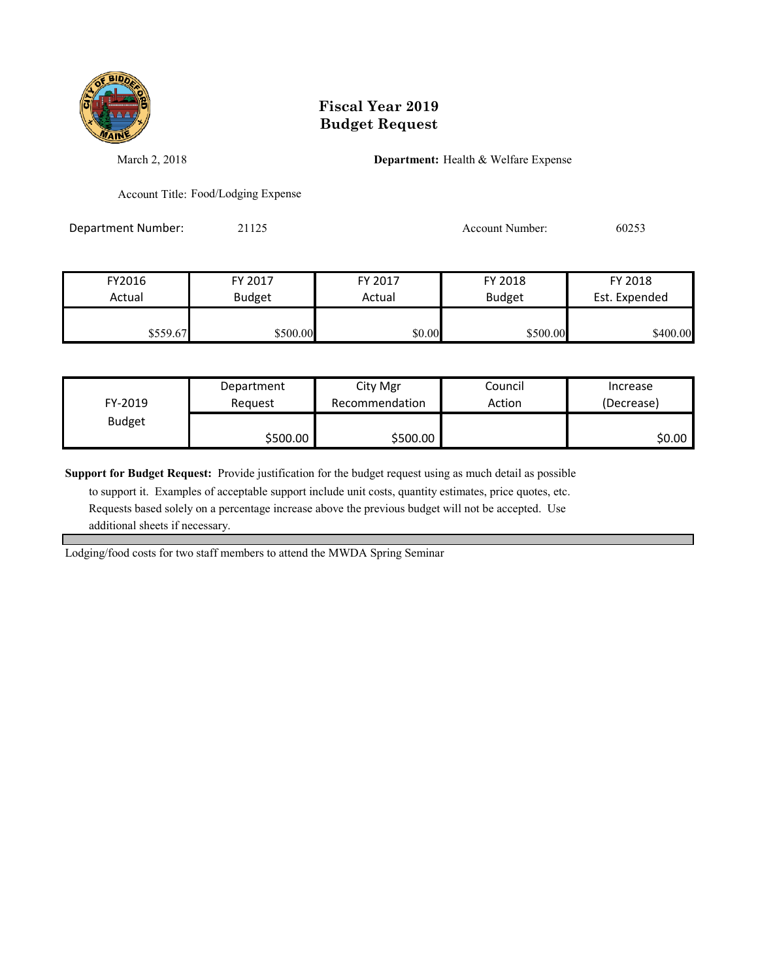

March 2, 2018 **Department:** Health & Welfare Expense

Account Title: Food/Lodging Expense

Department Number: 21125 21125 Account Number: 60253

| FY2016   | FY 2017       | FY 2017 | FY 2018       | FY 2018       |
|----------|---------------|---------|---------------|---------------|
| Actual   | <b>Budget</b> | Actual  | <b>Budget</b> | Est. Expended |
|          |               |         |               |               |
| \$559.67 | \$500.00      | \$0.00  | \$500.00      | \$400.00      |

| FY-2019       | Department | City Mgr       | Council | Increase   |
|---------------|------------|----------------|---------|------------|
|               | Reauest    | Recommendation | Action  | (Decrease) |
| <b>Budget</b> | \$500.00   | \$500.00       |         | \$0.00     |

**Support for Budget Request:** Provide justification for the budget request using as much detail as possible

 to support it. Examples of acceptable support include unit costs, quantity estimates, price quotes, etc. Requests based solely on a percentage increase above the previous budget will not be accepted. Use additional sheets if necessary.

Lodging/food costs for two staff members to attend the MWDA Spring Seminar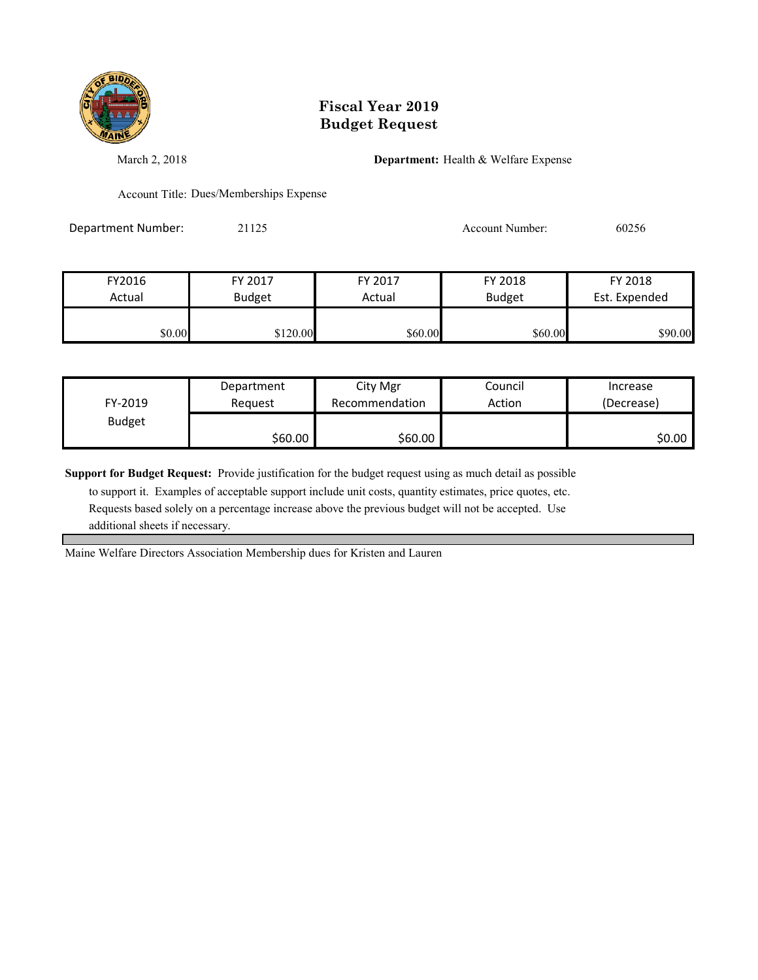

March 2, 2018 **Department:** Health & Welfare Expense

Account Title: Dues/Memberships Expense

Department Number: 21125 21125 Account Number: 60256

| FY2016 | FY 2017       | FY 2017 | FY 2018       | FY 2018       |
|--------|---------------|---------|---------------|---------------|
| Actual | <b>Budget</b> | Actual  | <b>Budget</b> | Est. Expended |
| \$0.00 | \$120.00      | \$60.00 | \$60.00       | \$90.00       |

|               | Department | City Mgr       | Council | Increase   |
|---------------|------------|----------------|---------|------------|
| FY-2019       | Reauest    | Recommendation | Action  | (Decrease) |
| <b>Budget</b> |            |                |         |            |
|               | \$60.00    | \$60.00        |         | \$0.00     |

**Support for Budget Request:** Provide justification for the budget request using as much detail as possible

 to support it. Examples of acceptable support include unit costs, quantity estimates, price quotes, etc. Requests based solely on a percentage increase above the previous budget will not be accepted. Use additional sheets if necessary.

Maine Welfare Directors Association Membership dues for Kristen and Lauren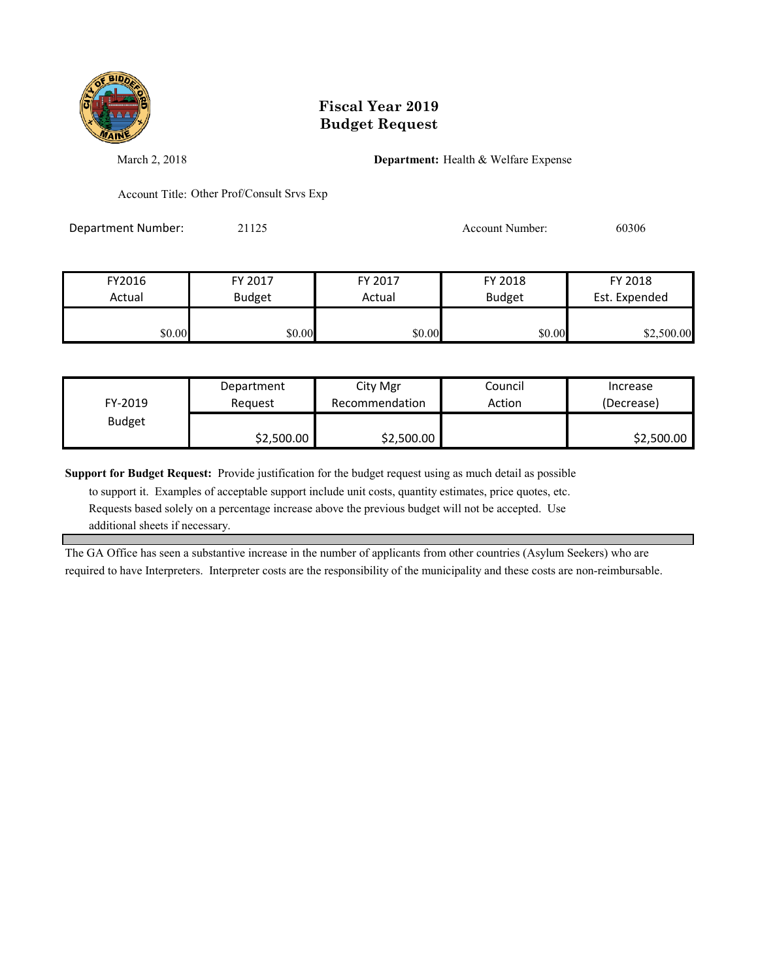

March 2, 2018 **Department:** Health & Welfare Expense

Account Title: Other Prof/Consult Srvs Exp

Department Number: 21125 21125 Account Number: 60306

| FY2016 | FY 2017       | FY 2017 | FY 2018       | FY 2018       |
|--------|---------------|---------|---------------|---------------|
| Actual | <b>Budget</b> | Actual  | <b>Budget</b> | Est. Expended |
|        |               |         |               |               |
| \$0.00 | \$0.00        | \$0.00  | \$0.00        | \$2,500.00    |

| FY-2019       | Department | City Mgr       | Council | Increase   |
|---------------|------------|----------------|---------|------------|
|               | Reauest    | Recommendation | Action  | (Decrease) |
| <b>Budget</b> | \$2,500.00 | \$2,500.00     |         | \$2,500.00 |

**Support for Budget Request:** Provide justification for the budget request using as much detail as possible

 to support it. Examples of acceptable support include unit costs, quantity estimates, price quotes, etc. Requests based solely on a percentage increase above the previous budget will not be accepted. Use additional sheets if necessary.

The GA Office has seen a substantive increase in the number of applicants from other countries (Asylum Seekers) who are required to have Interpreters. Interpreter costs are the responsibility of the municipality and these costs are non-reimbursable.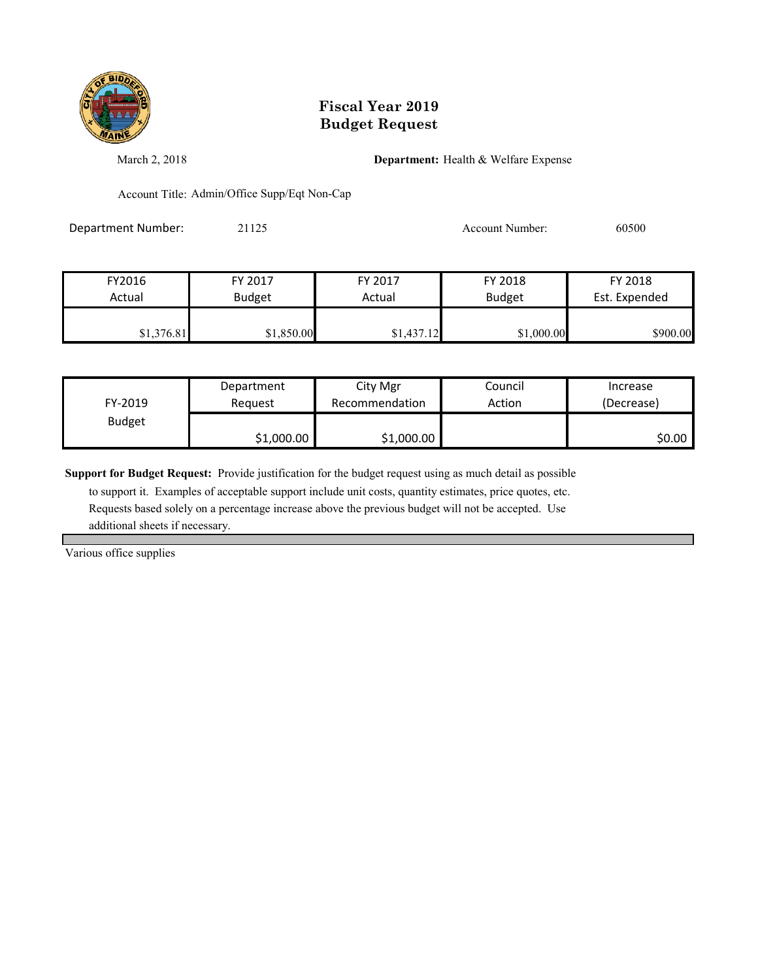

March 2, 2018 **Department:** Health & Welfare Expense

Account Title: Admin/Office Supp/Eqt Non-Cap

Department Number: 21125 21125 Account Number: 60500

| FY2016     | FY 2017       | FY 2017    | FY 2018       | FY 2018       |
|------------|---------------|------------|---------------|---------------|
| Actual     | <b>Budget</b> | Actual     | <b>Budget</b> | Est. Expended |
|            |               |            |               |               |
| \$1,376.81 | \$1,850.00    | \$1,437.12 | \$1,000.00    | \$900.00      |

| FY-2019       | Department<br>Reauest | City Mgr<br>Recommendation | Council<br>Action | Increase<br>(Decrease) |
|---------------|-----------------------|----------------------------|-------------------|------------------------|
| <b>Budget</b> |                       |                            |                   |                        |
|               | \$1,000.00            | \$1,000.00                 |                   | \$0.00                 |

**Support for Budget Request:** Provide justification for the budget request using as much detail as possible

 to support it. Examples of acceptable support include unit costs, quantity estimates, price quotes, etc. Requests based solely on a percentage increase above the previous budget will not be accepted. Use additional sheets if necessary.

Various office supplies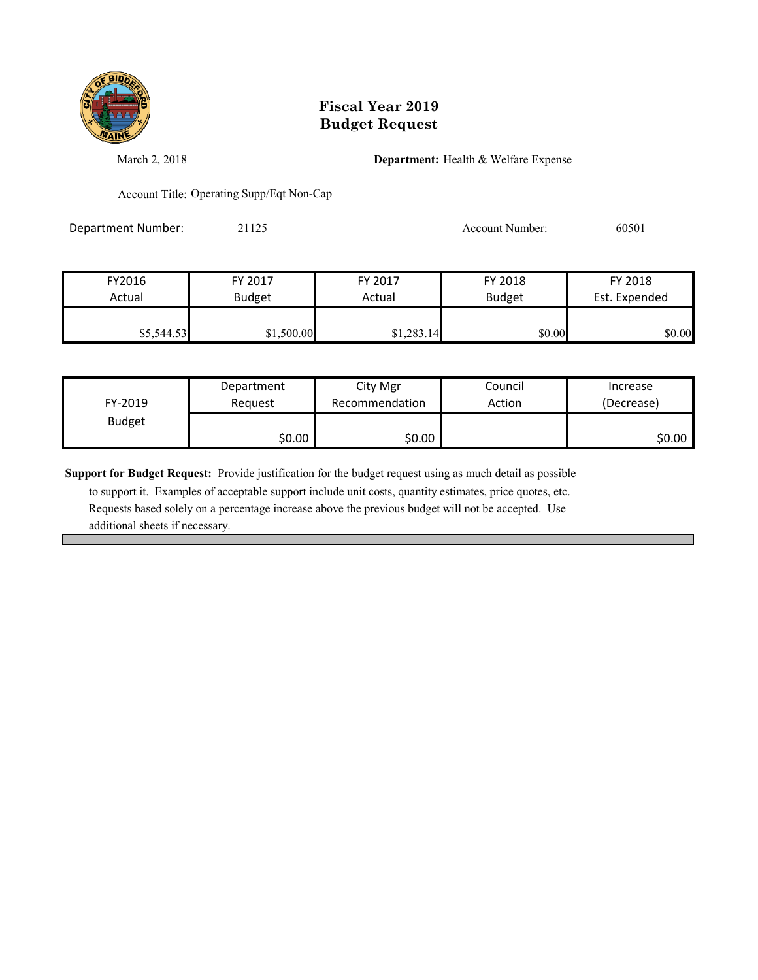

March 2, 2018 **Department:** Health & Welfare Expense

Account Title: Operating Supp/Eqt Non-Cap

Department Number: 21125 21125 Account Number: 60501

| FY2016     | FY 2017       | FY 2017    | FY 2018       | FY 2018       |
|------------|---------------|------------|---------------|---------------|
| Actual     | <b>Budget</b> | Actual     | <b>Budget</b> | Est. Expended |
|            |               |            |               |               |
| \$5,544.53 | \$1,500.00    | \$1,283.14 | \$0.00        | \$0.00        |

|               | Department | City Mgr       | Council | Increase   |
|---------------|------------|----------------|---------|------------|
| FY-2019       | Reauest    | Recommendation | Action  | (Decrease) |
| <b>Budget</b> |            |                |         |            |
|               | \$0.00     | \$0.00         |         | \$0.00     |

**Support for Budget Request:** Provide justification for the budget request using as much detail as possible

 to support it. Examples of acceptable support include unit costs, quantity estimates, price quotes, etc. Requests based solely on a percentage increase above the previous budget will not be accepted. Use additional sheets if necessary.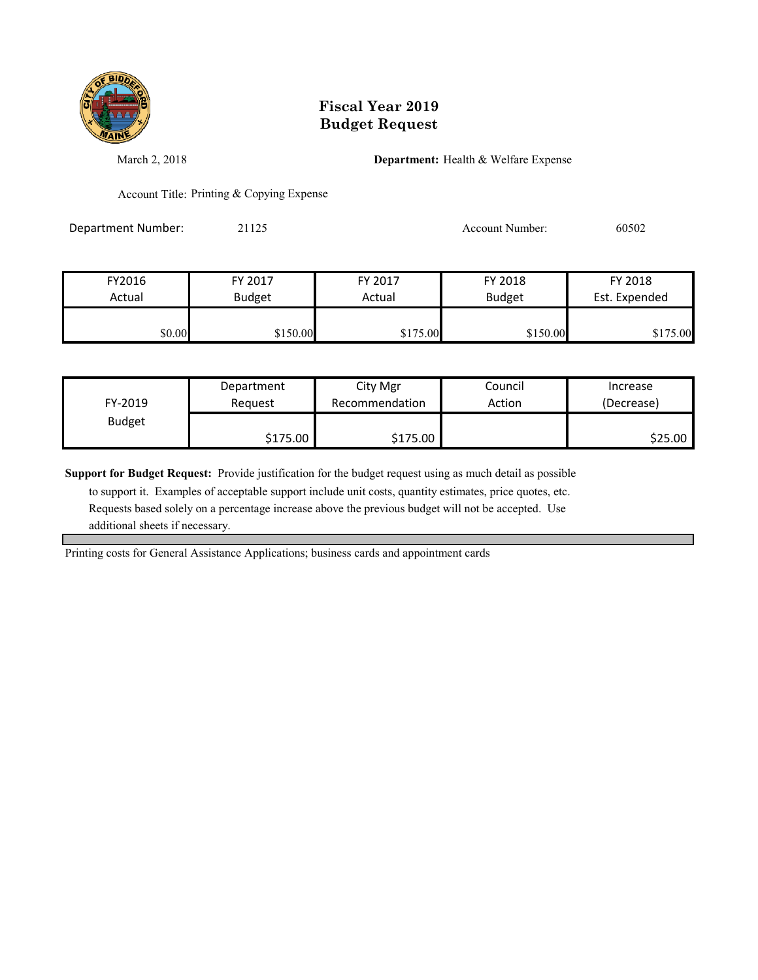

March 2, 2018 **Department:** Health & Welfare Expense

Account Title: Printing & Copying Expense

Department Number: 21125 21125 Account Number: 60502

| FY2016 | FY 2017       | FY 2017  | FY 2018       | FY 2018       |
|--------|---------------|----------|---------------|---------------|
| Actual | <b>Budget</b> | Actual   | <b>Budget</b> | Est. Expended |
|        |               |          |               |               |
| \$0.00 | \$150.00      | \$175.00 | \$150.00      | \$175.00      |

| FY-2019       | Department | City Mgr       | Council | Increase   |
|---------------|------------|----------------|---------|------------|
|               | Reauest    | Recommendation | Action  | (Decrease) |
| <b>Budget</b> | \$175.00   | \$175.00       |         | \$25.00    |

**Support for Budget Request:** Provide justification for the budget request using as much detail as possible

 to support it. Examples of acceptable support include unit costs, quantity estimates, price quotes, etc. Requests based solely on a percentage increase above the previous budget will not be accepted. Use additional sheets if necessary.

Printing costs for General Assistance Applications; business cards and appointment cards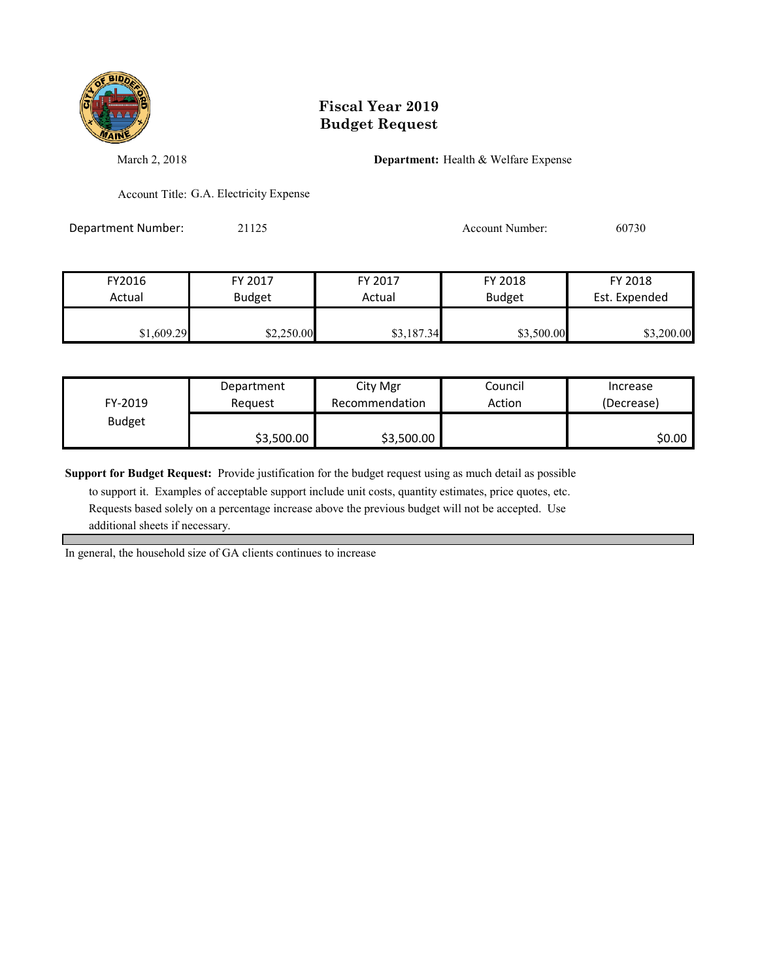

March 2, 2018 **Department:** Health & Welfare Expense

Account Title: G.A. Electricity Expense

Department Number: 21125 21125 Account Number: 60730

| FY2016     | FY 2017       | FY 2017    | FY 2018       | FY 2018       |
|------------|---------------|------------|---------------|---------------|
| Actual     | <b>Budget</b> | Actual     | <b>Budget</b> | Est. Expended |
| \$1,609.29 | \$2,250.00    | \$3,187.34 | \$3,500.00    | \$3,200.00    |

|               | Department | City Mgr       | Council | Increase   |
|---------------|------------|----------------|---------|------------|
| FY-2019       | Reauest    | Recommendation | Action  | (Decrease) |
| <b>Budget</b> |            |                |         |            |
|               | \$3,500.00 | \$3,500.00     |         | \$0.00     |

**Support for Budget Request:** Provide justification for the budget request using as much detail as possible

 to support it. Examples of acceptable support include unit costs, quantity estimates, price quotes, etc. Requests based solely on a percentage increase above the previous budget will not be accepted. Use additional sheets if necessary.

In general, the household size of GA clients continues to increase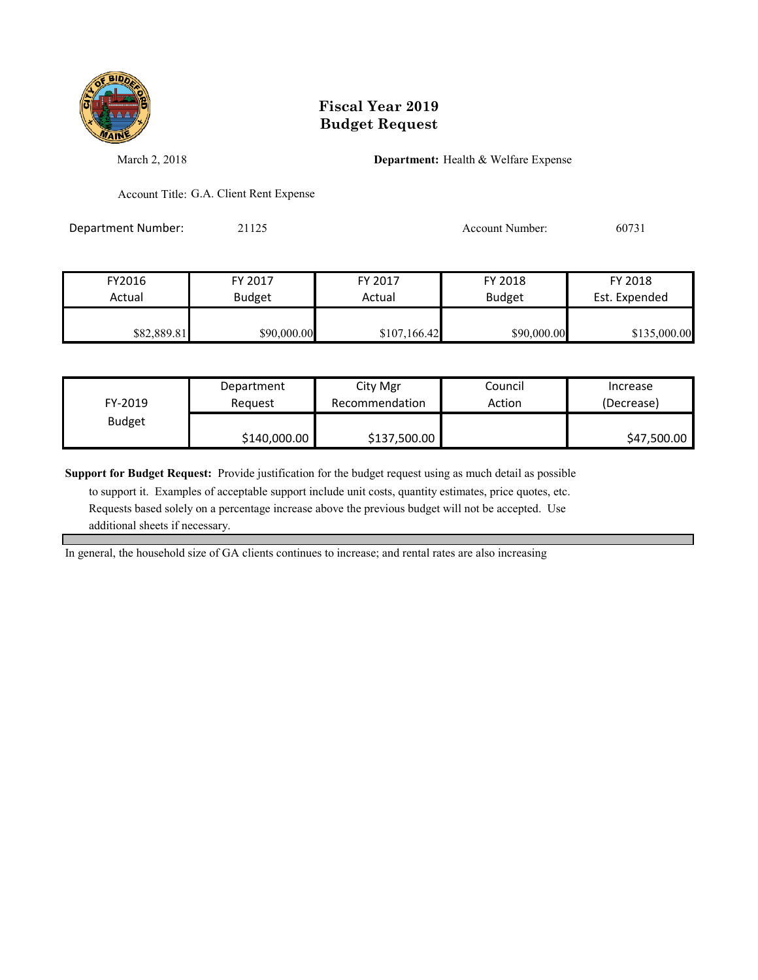

March 2, 2018 **Department:** Health & Welfare Expense

Account Title: G.A. Client Rent Expense

Department Number: 21125 21125 Account Number: 60731

| FY2016      | FY 2017       | FY 2017      | FY 2018       | FY 2018       |
|-------------|---------------|--------------|---------------|---------------|
| Actual      | <b>Budget</b> | Actual       | <b>Budget</b> | Est. Expended |
| \$82,889.81 | \$90,000.00   | \$107,166.42 | \$90,000.00   | \$135,000.00  |

| FY-2019       | Department   | City Mgr       | Council | Increase    |
|---------------|--------------|----------------|---------|-------------|
|               | Reauest      | Recommendation | Action  | (Decrease)  |
| <b>Budget</b> | \$140,000.00 | \$137,500.00   |         | \$47,500.00 |

**Support for Budget Request:** Provide justification for the budget request using as much detail as possible

 to support it. Examples of acceptable support include unit costs, quantity estimates, price quotes, etc. Requests based solely on a percentage increase above the previous budget will not be accepted. Use additional sheets if necessary.

In general, the household size of GA clients continues to increase; and rental rates are also increasing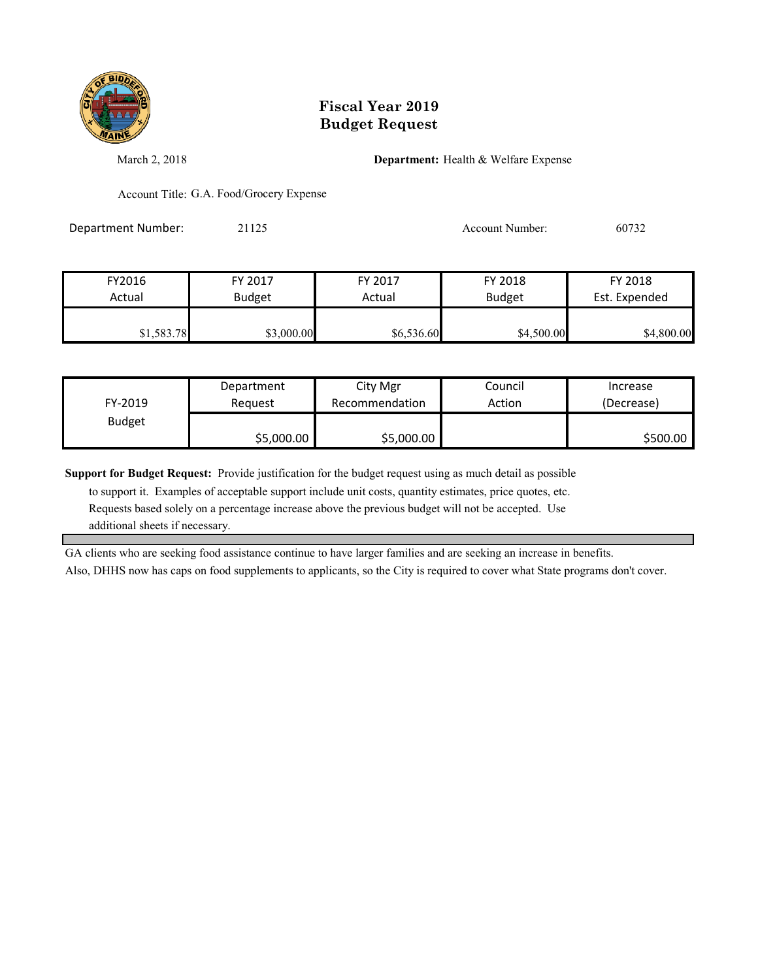

March 2, 2018 **Department:** Health & Welfare Expense

Account Title: G.A. Food/Grocery Expense

Department Number: 21125 21125 Account Number: 60732

| FY2016     | FY 2017       | FY 2017    | FY 2018       | FY 2018       |
|------------|---------------|------------|---------------|---------------|
| Actual     | <b>Budget</b> | Actual     | <b>Budget</b> | Est. Expended |
| \$1,583.78 | \$3,000.00    | \$6,536.60 | \$4,500.00    | \$4,800.00    |

| FY-2019       | Department | City Mgr       | Council | Increase   |
|---------------|------------|----------------|---------|------------|
|               | Reauest    | Recommendation | Action  | (Decrease) |
| <b>Budget</b> | \$5,000.00 | \$5,000.00     |         | \$500.00   |

**Support for Budget Request:** Provide justification for the budget request using as much detail as possible

 to support it. Examples of acceptable support include unit costs, quantity estimates, price quotes, etc. Requests based solely on a percentage increase above the previous budget will not be accepted. Use additional sheets if necessary.

GA clients who are seeking food assistance continue to have larger families and are seeking an increase in benefits. Also, DHHS now has caps on food supplements to applicants, so the City is required to cover what State programs don't cover.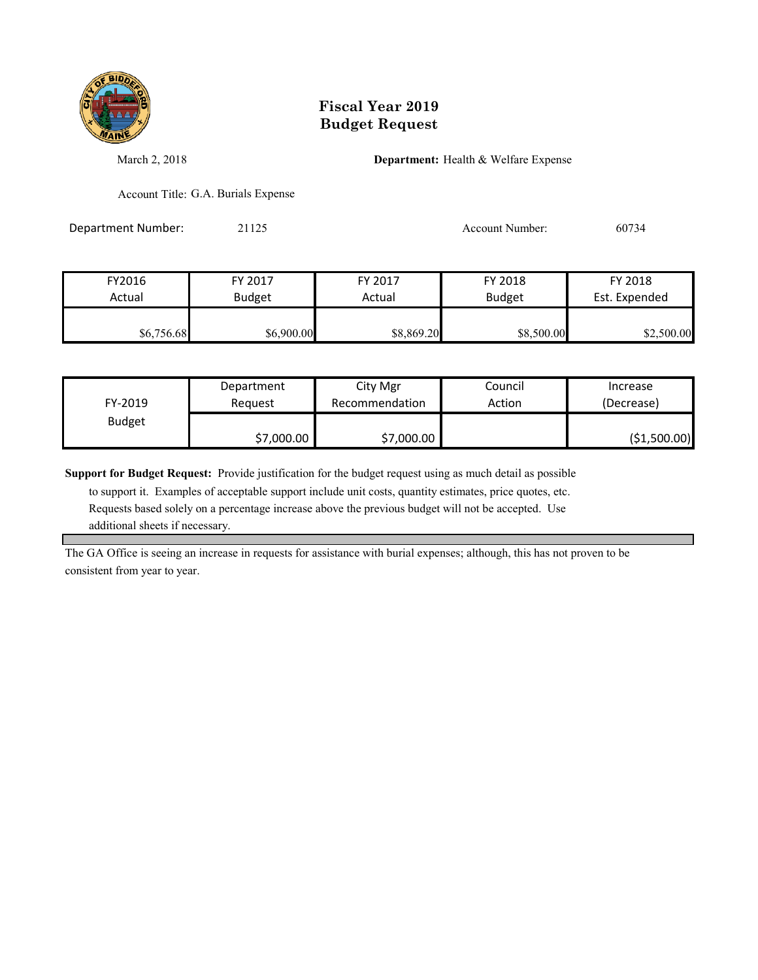

March 2, 2018 **Department:** Health & Welfare Expense

Account Title: G.A. Burials Expense

Department Number: 21125 21125 Account Number: 60734

| FY2016     | FY 2017       | FY 2017    | FY 2018       | FY 2018       |
|------------|---------------|------------|---------------|---------------|
| Actual     | <b>Budget</b> | Actual     | <b>Budget</b> | Est. Expended |
|            |               |            |               |               |
| \$6,756.68 | \$6,900.00    | \$8,869.20 | \$8,500.00    | \$2,500.00    |

| FY-2019       | Department | City Mgr       | Council | Increase      |
|---------------|------------|----------------|---------|---------------|
|               | Reauest    | Recommendation | Action  | (Decrease)    |
| <b>Budget</b> | \$7,000.00 | \$7,000.00     |         | ( \$1,500.00) |

**Support for Budget Request:** Provide justification for the budget request using as much detail as possible

 to support it. Examples of acceptable support include unit costs, quantity estimates, price quotes, etc. Requests based solely on a percentage increase above the previous budget will not be accepted. Use additional sheets if necessary.

The GA Office is seeing an increase in requests for assistance with burial expenses; although, this has not proven to be consistent from year to year.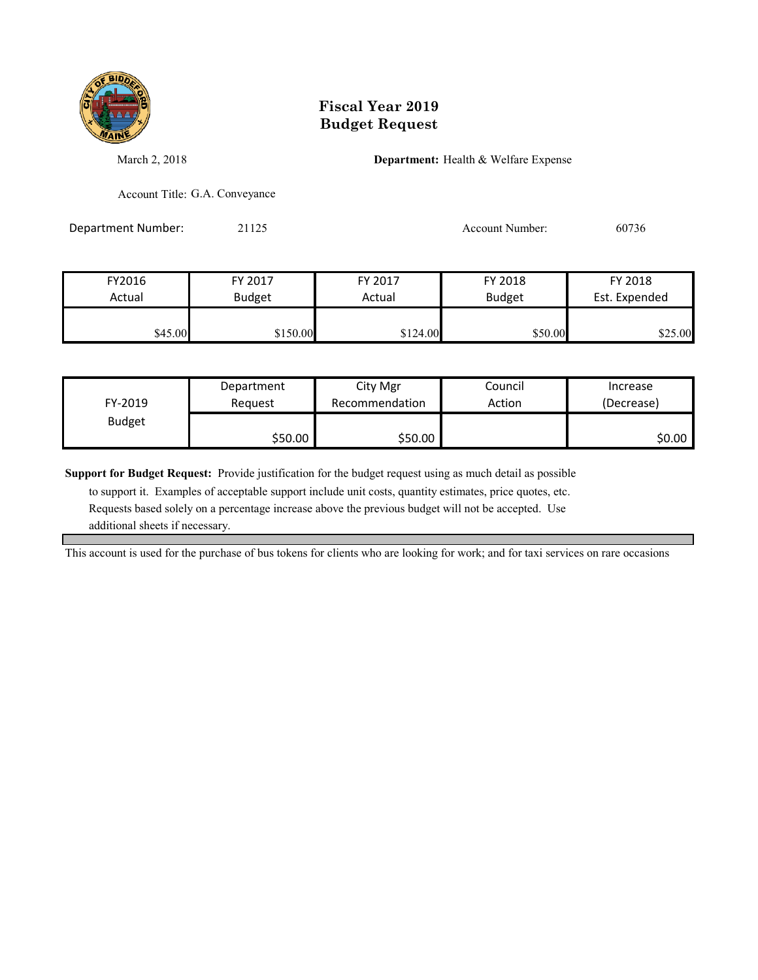

March 2, 2018 **Department:** Health & Welfare Expense

Account Title: G.A. Conveyance

Department Number: 21125 21125 Account Number: 60736

| FY2016  | FY 2017  | FY 2017  | FY 2018       | FY 2018       |
|---------|----------|----------|---------------|---------------|
| Actual  | Budget   | Actual   | <b>Budget</b> | Est. Expended |
| \$45.00 | \$150.00 | \$124.00 | \$50.00       | \$25.00       |

|               | Department | City Mgr       | Council | Increase   |
|---------------|------------|----------------|---------|------------|
| FY-2019       | Reauest    | Recommendation | Action  | (Decrease) |
| <b>Budget</b> |            |                |         |            |
|               | \$50.00    | \$50.00        |         | \$0.00     |

**Support for Budget Request:** Provide justification for the budget request using as much detail as possible

 to support it. Examples of acceptable support include unit costs, quantity estimates, price quotes, etc. Requests based solely on a percentage increase above the previous budget will not be accepted. Use additional sheets if necessary.

This account is used for the purchase of bus tokens for clients who are looking for work; and for taxi services on rare occasions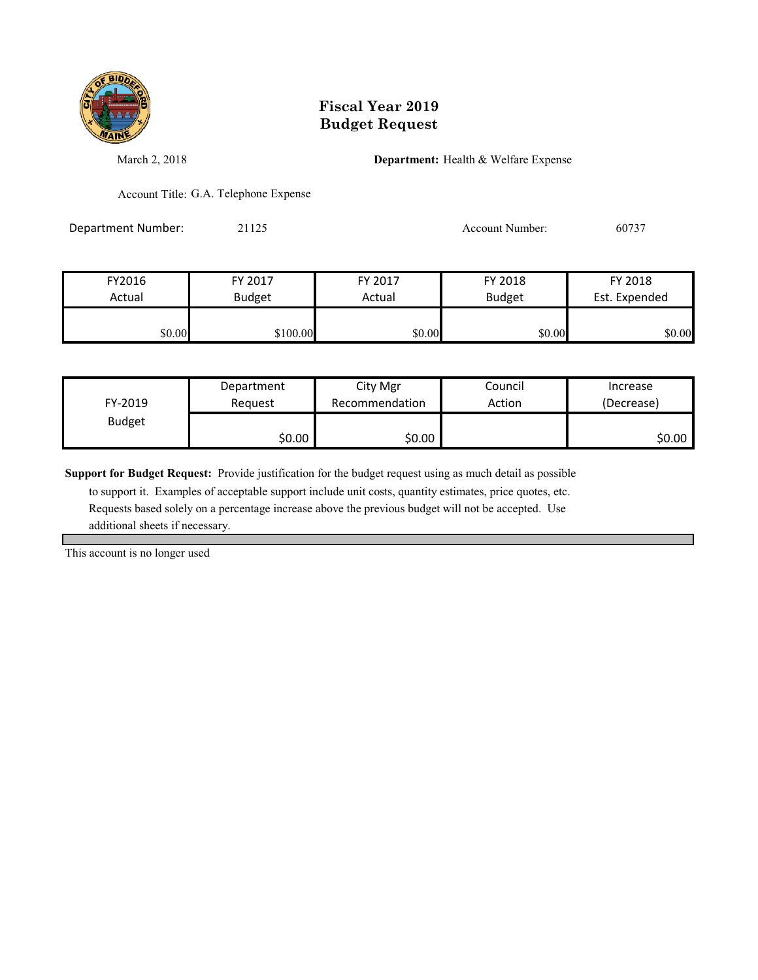

March 2, 2018 **Department:** Health & Welfare Expense

Account Title: G.A. Telephone Expense

Department Number: 21125 21125 Account Number: 60737

| FY2016 | FY 2017       | FY 2017 | FY 2018       | FY 2018       |
|--------|---------------|---------|---------------|---------------|
| Actual | <b>Budget</b> | Actual  | <b>Budget</b> | Est. Expended |
| \$0.00 | \$100.00      | \$0.00  | \$0.00        | \$0.00        |

| FY-2019       | Department | City Mgr       | Council | Increase   |
|---------------|------------|----------------|---------|------------|
|               | Reauest    | Recommendation | Action  | (Decrease) |
| <b>Budget</b> | \$0.00     | \$0.00∣        |         | \$0.00∣    |

**Support for Budget Request:** Provide justification for the budget request using as much detail as possible

 to support it. Examples of acceptable support include unit costs, quantity estimates, price quotes, etc. Requests based solely on a percentage increase above the previous budget will not be accepted. Use additional sheets if necessary.

This account is no longer used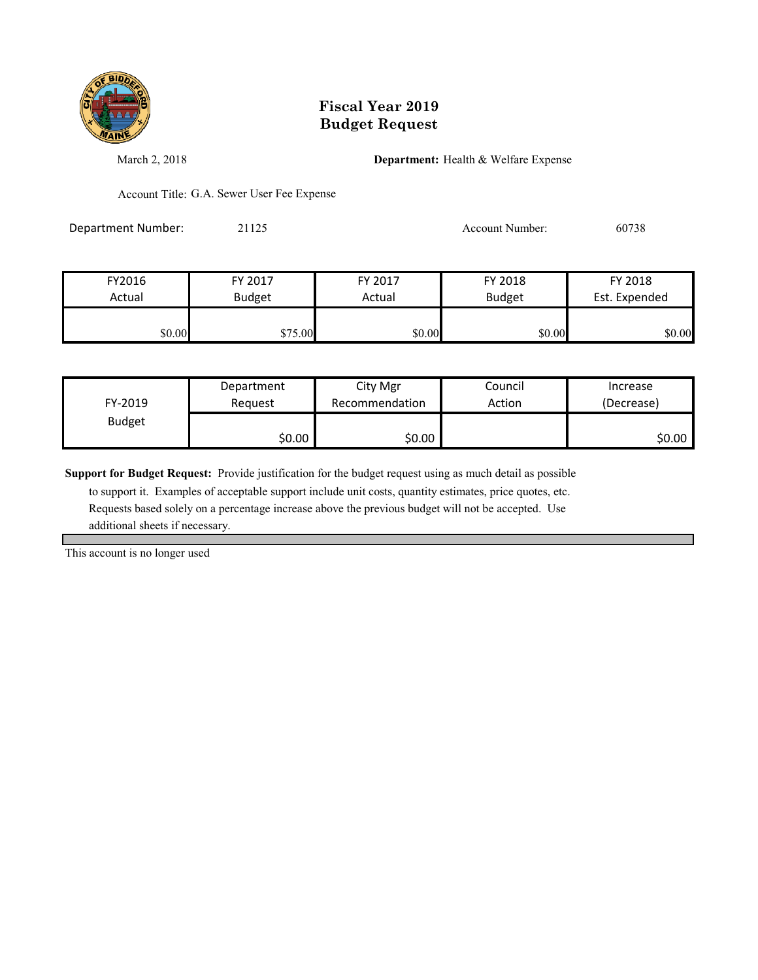

March 2, 2018 **Department:** Health & Welfare Expense

Account Title: G.A. Sewer User Fee Expense

Department Number: 21125 21125 Account Number: 60738

| FY2016 | FY 2017       | FY 2017 | FY 2018       | FY 2018       |
|--------|---------------|---------|---------------|---------------|
| Actual | <b>Budget</b> | Actual  | <b>Budget</b> | Est. Expended |
|        |               |         |               |               |
| \$0.00 | \$75.00       | \$0.00  | \$0.00        | \$0.00        |

| FY-2019       | Department<br>Reauest | City Mgr<br>Recommendation | Council<br>Action | Increase<br>(Decrease) |
|---------------|-----------------------|----------------------------|-------------------|------------------------|
| <b>Budget</b> |                       |                            |                   |                        |
|               | \$0.00                | \$0.00∣                    |                   | \$0.00∣                |

**Support for Budget Request:** Provide justification for the budget request using as much detail as possible

 to support it. Examples of acceptable support include unit costs, quantity estimates, price quotes, etc. Requests based solely on a percentage increase above the previous budget will not be accepted. Use additional sheets if necessary.

This account is no longer used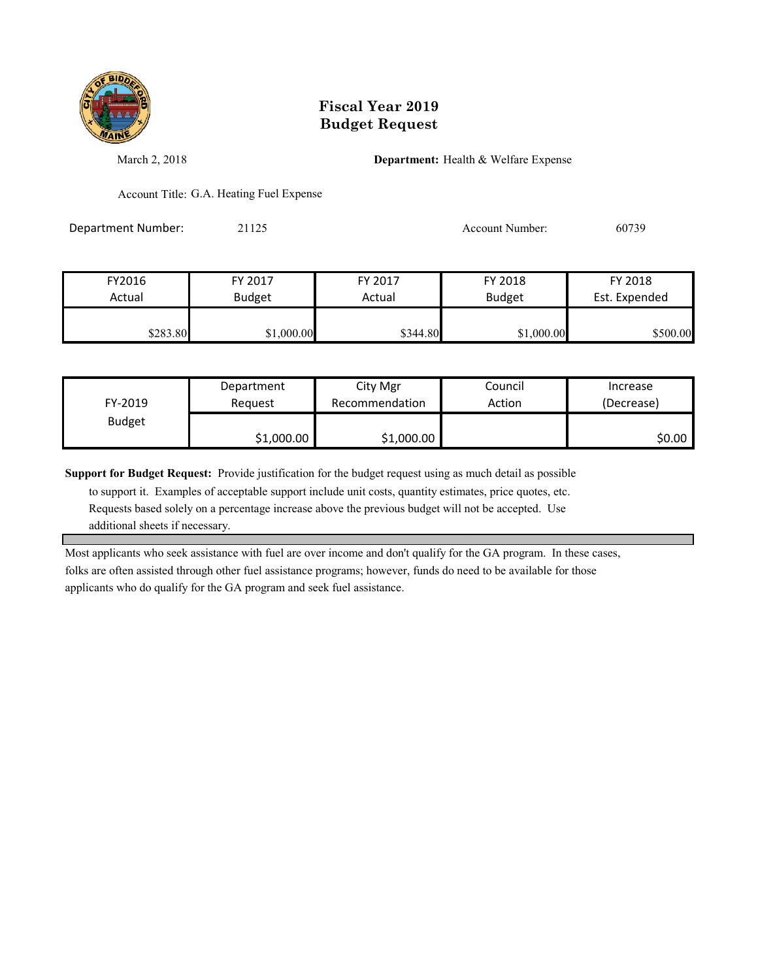

March 2, 2018 **Department:** Health & Welfare Expense

Account Title: G.A. Heating Fuel Expense

Department Number: 21125 21125 Account Number: 60739

| FY2016   | FY 2017       | FY 2017  | FY 2018       | FY 2018       |
|----------|---------------|----------|---------------|---------------|
| Actual   | <b>Budget</b> | Actual   | <b>Budget</b> | Est. Expended |
|          |               |          |               |               |
| \$283.80 | \$1,000.00    | \$344.80 | \$1,000.00    | \$500.00      |

| FY-2019       | Department | City Mgr       | Council | Increase   |
|---------------|------------|----------------|---------|------------|
|               | Reauest    | Recommendation | Action  | (Decrease) |
| <b>Budget</b> | \$1,000.00 | \$1,000.00     |         | \$0.00     |

**Support for Budget Request:** Provide justification for the budget request using as much detail as possible

 to support it. Examples of acceptable support include unit costs, quantity estimates, price quotes, etc. Requests based solely on a percentage increase above the previous budget will not be accepted. Use additional sheets if necessary.

Most applicants who seek assistance with fuel are over income and don't qualify for the GA program. In these cases, folks are often assisted through other fuel assistance programs; however, funds do need to be available for those applicants who do qualify for the GA program and seek fuel assistance.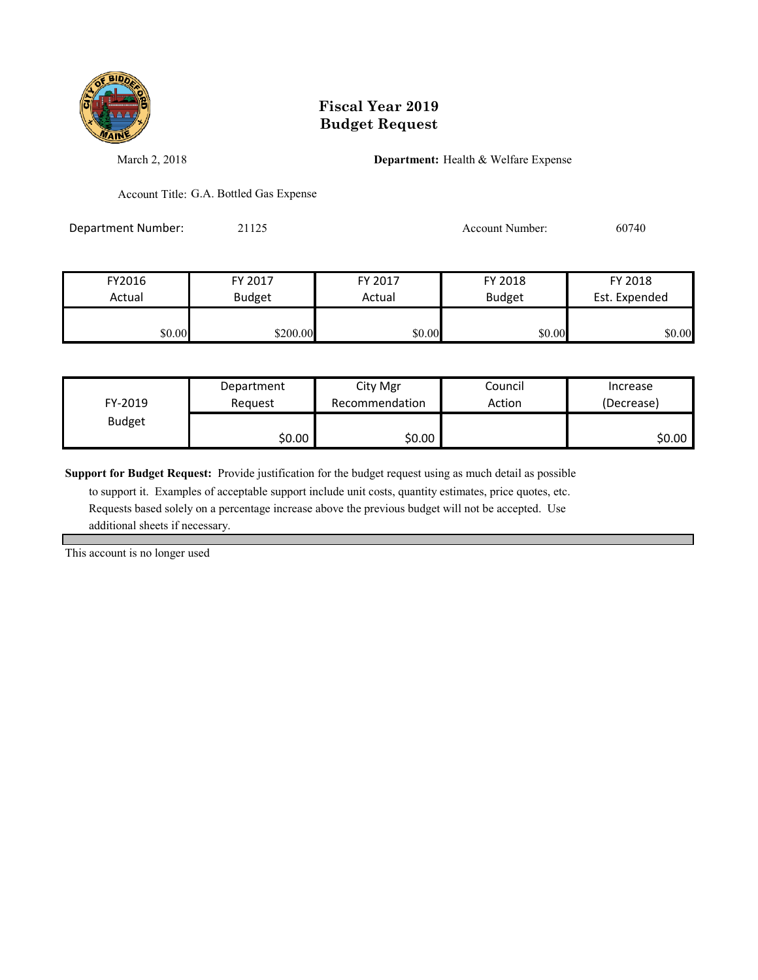

March 2, 2018 **Department:** Health & Welfare Expense

Account Title: G.A. Bottled Gas Expense

Department Number: 21125 21125 Account Number: 60740

| FY2016 | FY 2017       | FY 2017 | FY 2018       | FY 2018       |
|--------|---------------|---------|---------------|---------------|
| Actual | <b>Budget</b> | Actual  | <b>Budget</b> | Est. Expended |
|        |               |         |               |               |
| \$0.00 | \$200.00      | \$0.00  | \$0.00        | \$0.00        |

| FY-2019       | Department | City Mgr       | Council | Increase   |
|---------------|------------|----------------|---------|------------|
|               | Reauest    | Recommendation | Action  | (Decrease) |
| <b>Budget</b> | \$0.00     | \$0.00∣        |         | \$0.00     |

**Support for Budget Request:** Provide justification for the budget request using as much detail as possible

 to support it. Examples of acceptable support include unit costs, quantity estimates, price quotes, etc. Requests based solely on a percentage increase above the previous budget will not be accepted. Use additional sheets if necessary.

This account is no longer used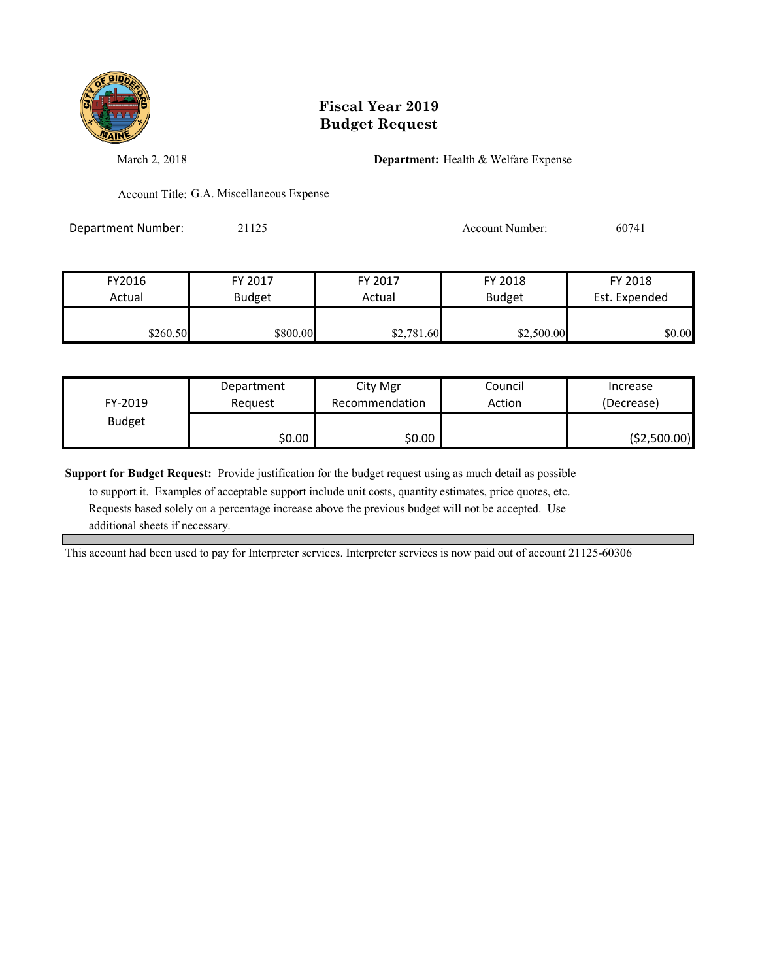

March 2, 2018 **Department:** Health & Welfare Expense

Account Title: G.A. Miscellaneous Expense

Department Number: 21125 21125 Account Number: 60741

| FY2016   | FY 2017       | FY 2017    | FY 2018       | FY 2018       |
|----------|---------------|------------|---------------|---------------|
| Actual   | <b>Budget</b> | Actual     | <b>Budget</b> | Est. Expended |
|          |               |            |               |               |
| \$260.50 | \$800.00      | \$2,781.60 | \$2,500.00    | \$0.00        |

|               | Department | City Mgr       | Council | Increase      |
|---------------|------------|----------------|---------|---------------|
| FY-2019       | Reauest    | Recommendation | Action  | (Decrease)    |
| <b>Budget</b> |            |                |         |               |
|               | \$0.00     | \$0.00         |         | ( \$2,500.00) |

**Support for Budget Request:** Provide justification for the budget request using as much detail as possible

 to support it. Examples of acceptable support include unit costs, quantity estimates, price quotes, etc. Requests based solely on a percentage increase above the previous budget will not be accepted. Use additional sheets if necessary.

This account had been used to pay for Interpreter services. Interpreter services is now paid out of account 21125-60306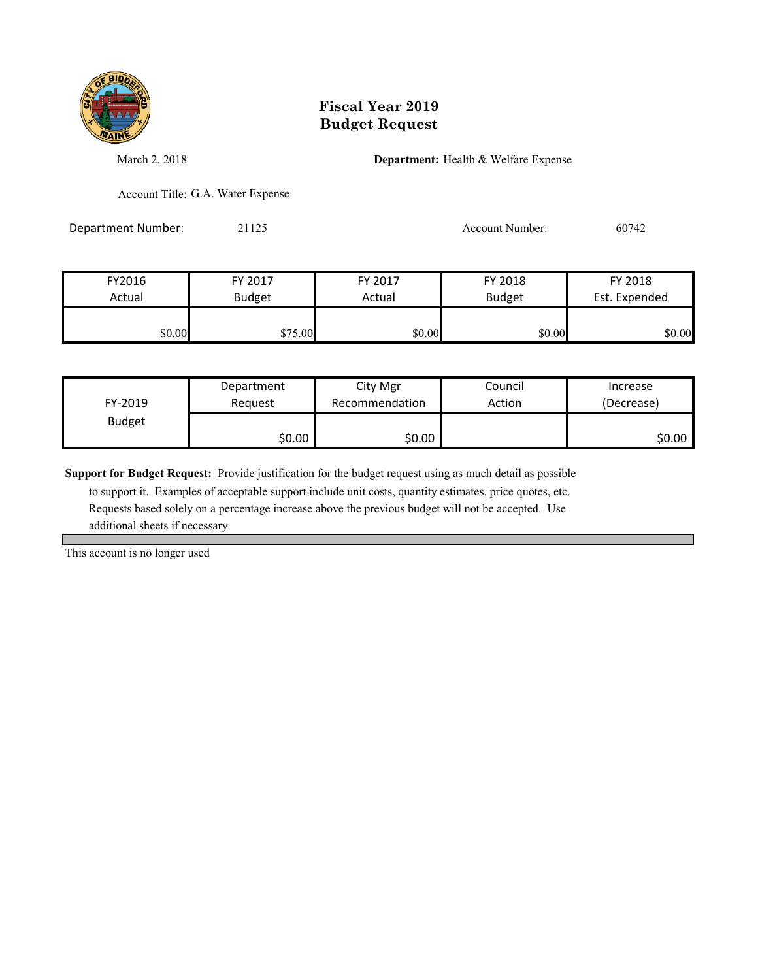

March 2, 2018 **Department:** Health & Welfare Expense

Account Title: G.A. Water Expense

Department Number: 21125 21125 Account Number: 60742

| FY2016 | FY 2017       | FY 2017 | FY 2018       | FY 2018       |
|--------|---------------|---------|---------------|---------------|
| Actual | <b>Budget</b> | Actual  | <b>Budget</b> | Est. Expended |
| \$0.00 | \$75.00       | \$0.00  | \$0.00        | \$0.00        |

| FY-2019       | Department | City Mgr       | Council | Increase   |
|---------------|------------|----------------|---------|------------|
|               | Reauest    | Recommendation | Action  | (Decrease) |
| <b>Budget</b> | \$0.00     | \$0.00∣        |         | \$0.00     |

**Support for Budget Request:** Provide justification for the budget request using as much detail as possible

 to support it. Examples of acceptable support include unit costs, quantity estimates, price quotes, etc. Requests based solely on a percentage increase above the previous budget will not be accepted. Use additional sheets if necessary.

This account is no longer used